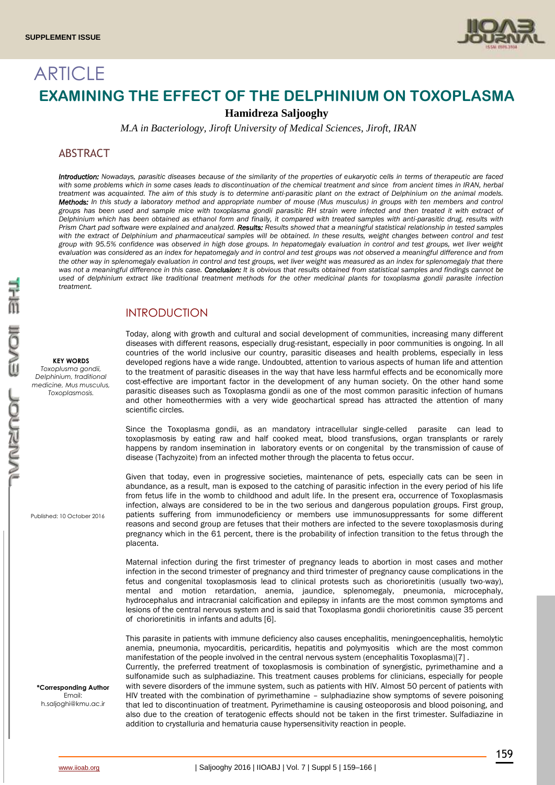

# **ARTICLE EXAMINING THE EFFECT OF THE DELPHINIUM ON TOXOPLASMA**

**Hamidreza Saljooghy**

*M.A in Bacteriology, Jiroft University of Medical Sciences, Jiroft, IRAN*

# ABSTRACT

*Introduction: Nowadays, parasitic diseases because of the similarity of the properties of eukaryotic cells in terms of therapeutic are faced*  with some problems which in some cases leads to discontinuation of the chemical treatment and since from ancient times in IRAN, herbal *treatment was acquainted. The aim of this study is to determine anti-parasitic plant on the extract of Delphinium on the animal models. Methods: In this study a laboratory method and appropriate number of mouse (Mus musculus) in groups with ten members and control groups has been used and sample mice with toxoplasma gondii parasitic RH strain were infected and then treated it with extract of Delphinium which has been obtained as ethanol form and finally, it compared with treated samples with anti-parasitic drug, results with Prism Chart pad software were explained and analyzed. Results: Results showed that a meaningful statistical relationship in tested samples*  with the extract of Delphinium and pharmaceutical samples will be obtained. In these results, weight changes between control and test *group with 95.5% confidence was observed in high dose groups. In hepatomegaly evaluation in control and test groups, wet liver weight evaluation was considered as an index for hepatomegaly and in control and test groups was not observed a meaningful difference and from the other way in splenomegaly evaluation in control and test groups, wet liver weight was measured as an index for splenomegaly that there was not a meaningful difference in this case. Conclusion: It is obvious that results obtained from statistical samples and findings cannot be used of delphinium extract like traditional treatment methods for the other medicinal plants for toxoplasma gondii parasite infection treatment.*

# INTRODUCTION

Today, along with growth and cultural and social development of communities, increasing many different diseases with different reasons, especially drug-resistant, especially in poor communities is ongoing. In all countries of the world inclusive our country, parasitic diseases and health problems, especially in less developed regions have a wide range. Undoubted, attention to various aspects of human life and attention to the treatment of parasitic diseases in the way that have less harmful effects and be economically more cost-effective are important factor in the development of any human society. On the other hand some parasitic diseases such as Toxoplasma gondii as one of the most common parasitic infection of humans and other homeothermies with a very wide geochartical spread has attracted the attention of many scientific circles.

Since the Toxoplasma gondii, as an mandatory intracellular single-celled parasite can lead to toxoplasmosis by eating raw and half cooked meat, blood transfusions, organ transplants or rarely happens by random insemination in laboratory events or on congenital by the transmission of cause of disease (Tachyzoite) from an infected mother through the placenta to fetus occur.

Given that today, even in progressive societies, maintenance of pets, especially cats can be seen in abundance, as a result, man is exposed to the catching of parasitic infection in the every period of his life from fetus life in the womb to childhood and adult life. In the present era, occurrence of Toxoplasmasis infection, always are considered to be in the two serious and dangerous population groups. First group, patients suffering from immunodeficiency or members use immunosuppressants for some different reasons and second group are fetuses that their mothers are infected to the severe toxoplasmosis during pregnancy which in the 61 percent, there is the probability of infection transition to the fetus through the placenta.

Maternal infection during the first trimester of pregnancy leads to abortion in most cases and mother infection in the second trimester of pregnancy and third trimester of pregnancy cause complications in the fetus and congenital toxoplasmosis lead to clinical protests such as chorioretinitis (usually two-way), mental and motion retardation, anemia, jaundice, splenomegaly, pneumonia, microcephaly, hydrocephalus and intracranial calcification and epilepsy in infants are the most common symptoms and lesions of the central nervous system and is said that Toxoplasma gondii chorioretinitis cause 35 percent of chorioretinitis in infants and adults [6].

This parasite in patients with immune deficiency also causes encephalitis, meningoencephalitis, hemolytic anemia, pneumonia, myocarditis, pericarditis, hepatitis and polymyositis which are the most common manifestation of the people involved in the central nervous system (encephalitis Toxoplasma)[7] .

Currently, the preferred treatment of toxoplasmosis is combination of synergistic, pyrimethamine and a sulfonamide such as sulphadiazine. This treatment causes problems for clinicians, especially for people with severe disorders of the immune system, such as patients with HIV. Almost 50 percent of patients with HIV treated with the combination of pyrimethamine – sulphadiazine show symptoms of severe poisoning that led to discontinuation of treatment. Pyrimethamine is causing osteoporosis and blood poisoning, and also due to the creation of teratogenic effects should not be taken in the first trimester. Sulfadiazine in addition to crystalluria and hematuria cause hypersensitivity reaction in people.

Published: 10 October 2016

**KEY WORDS** *Toxoplusma gondii, Delphinium, traditional medicine, Mus musculus, Toxoplasmosis.*

#### **\*Corresponding Author** Email: h.saljoghi@kmu.ac.ir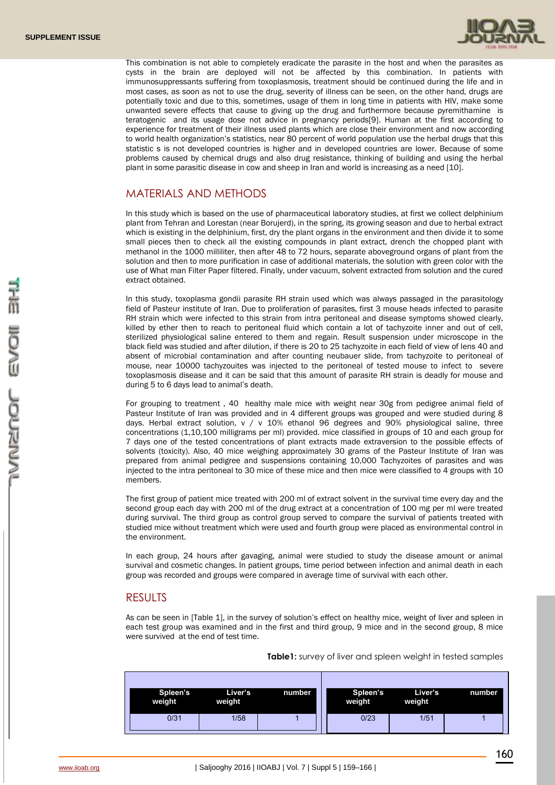

This combination is not able to completely eradicate the parasite in the host and when the parasites as cysts in the brain are deployed will not be affected by this combination. In patients with immunosuppressants suffering from toxoplasmosis, treatment should be continued during the life and in most cases, as soon as not to use the drug, severity of illness can be seen, on the other hand, drugs are potentially toxic and due to this, sometimes, usage of them in long time in patients with HIV, make some unwanted severe effects that cause to giving up the drug and furthermore because pyremithamine is teratogenic and its usage dose not advice in pregnancy periods[9]. Human at the first according to experience for treatment of their illness used plants which are close their environment and now according to world health organization's statistics, near 80 percent of world population use the herbal drugs that this statistic s is not developed countries is higher and in developed countries are lower. Because of some problems caused by chemical drugs and also drug resistance, thinking of building and using the herbal plant in some parasitic disease in cow and sheep in Iran and world is increasing as a need [10].

# MATERIALS AND METHODS

In this study which is based on the use of pharmaceutical laboratory studies, at first we collect delphinium plant from Tehran and Lorestan (near Borujerd), in the spring, its growing season and due to herbal extract which is existing in the delphinium, first, dry the plant organs in the environment and then divide it to some small pieces then to check all the existing compounds in plant extract, drench the chopped plant with methanol in the 1000 milliliter, then after 48 to 72 hours, separate aboveground organs of plant from the solution and then to more purification in case of additional materials, the solution with green color with the use of What man Filter Paper filtered. Finally, under vacuum, solvent extracted from solution and the cured extract obtained.

In this study, toxoplasma gondii parasite RH strain used which was always passaged in the parasitology field of Pasteur institute of Iran. Due to proliferation of parasites, first 3 mouse heads infected to parasite RH strain which were infected to this strain from intra peritoneal and disease symptoms showed clearly, killed by ether then to reach to peritoneal fluid which contain a lot of tachyzoite inner and out of cell, sterilized physiological saline entered to them and regain. Result suspension under microscope in the black field was studied and after dilution, if there is 20 to 25 tachyzoite in each field of view of lens 40 and absent of microbial contamination and after counting neubauer slide, from tachyzoite to peritoneal of mouse, near 10000 tachyzouites was injected to the peritoneal of tested mouse to infect to severe toxoplasmosis disease and it can be said that this amount of parasite RH strain is deadly for mouse and during 5 to 6 days lead to animal's death.

For grouping to treatment , 40 healthy male mice with weight near 30g from pedigree animal field of Pasteur Institute of Iran was provided and in 4 different groups was grouped and were studied during 8 days. Herbal extract solution,  $v / v 10\%$  ethanol 96 degrees and 90% physiological saline, three concentrations (1,10,100 milligrams per ml) provided. mice classified in groups of 10 and each group for 7 days one of the tested concentrations of plant extracts made extraversion to the possible effects of solvents (toxicity). Also, 40 mice weighing approximately 30 grams of the Pasteur Institute of Iran was prepared from animal pedigree and suspensions containing 10,000 Tachyzoites of parasites and was injected to the intra peritoneal to 30 mice of these mice and then mice were classified to 4 groups with 10 members.

The first group of patient mice treated with 200 ml of extract solvent in the survival time every day and the second group each day with 200 ml of the drug extract at a concentration of 100 mg per ml were treated during survival. The third group as control group served to compare the survival of patients treated with studied mice without treatment which were used and fourth group were placed as environmental control in the environment.

In each group, 24 hours after gavaging, animal were studied to study the disease amount or animal survival and cosmetic changes. In patient groups, time period between infection and animal death in each group was recorded and groups were compared in average time of survival with each other.

## RESULTS

As can be seen in [Table 1], in the survey of solution's effect on healthy mice, weight of liver and spleen in each test group was examined and in the first and third group, 9 mice and in the second group, 8 mice were survived at the end of test time.

**Table1:** survey of liver and spleen weight in tested samples

| Spleen's<br>weight | Liver's<br>weight | number | Spleen's<br>weight | Liver's<br>weight | number |
|--------------------|-------------------|--------|--------------------|-------------------|--------|
| 0/31               | 1/58              |        | 0/23               | 1/51              |        |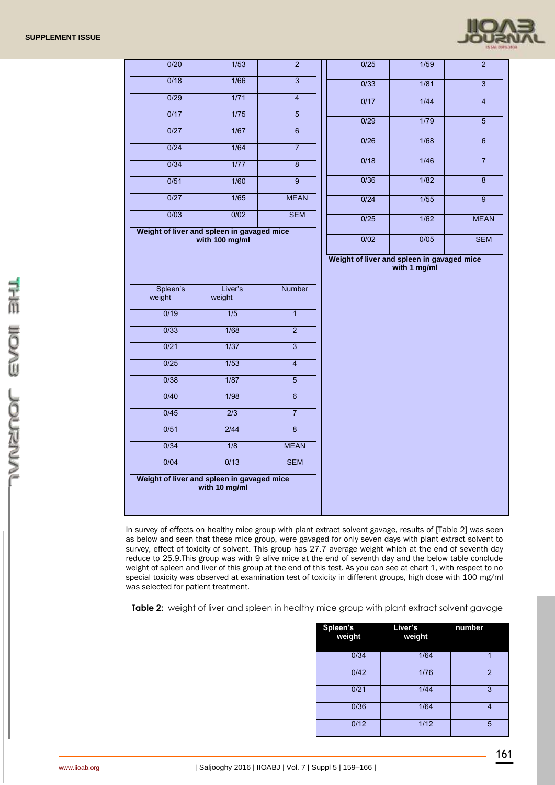

| 0/20               | 1/53                                                         | $\overline{2}$            | 0/25                                                       | 1/59           | $\overline{2}$ |
|--------------------|--------------------------------------------------------------|---------------------------|------------------------------------------------------------|----------------|----------------|
| 0/18               | 1/66                                                         | $\overline{3}$            | 0/33                                                       | $\frac{1}{81}$ | $\overline{3}$ |
| 0/29               | 1/71                                                         | $\overline{4}$            | 0/17                                                       | 1/44           | $\overline{4}$ |
| 0/17               | $\frac{1}{75}$                                               | $\overline{5}$            | 0/29                                                       | 1/79           | $\overline{5}$ |
| 0/27               | $\frac{1}{67}$                                               | $\overline{6}$            | $\overline{0/26}$                                          | 1/68           | $\overline{6}$ |
| 0/24               | $\frac{1}{64}$                                               | $\overline{7}$            |                                                            |                |                |
| 0/34               | 1/77                                                         | $\overline{8}$            | 0/18                                                       | $\frac{1}{46}$ | $\overline{7}$ |
| 0/51               | 1/60                                                         | $\overline{9}$            | 0/36                                                       | 1/82           | $\overline{8}$ |
| 0/27               | 1/65                                                         | <b>MEAN</b>               | 0/24                                                       | $\frac{1}{55}$ | $\overline{9}$ |
| 0/03               | 0/02                                                         | <b>SEM</b>                | 0/25                                                       | 1/62           | <b>MEAN</b>    |
|                    | Weight of liver and spleen in gavaged mice<br>with 100 mg/ml |                           | 0/02                                                       | 0/05           | <b>SEM</b>     |
|                    |                                                              |                           |                                                            |                |                |
|                    |                                                              |                           | Weight of liver and spleen in gavaged mice<br>with 1 mg/ml |                |                |
|                    |                                                              |                           |                                                            |                |                |
| Spleen's<br>weight | Liver's<br>weight                                            | Number                    |                                                            |                |                |
| 0/19               | 1/5                                                          | $\overline{1}$            |                                                            |                |                |
| 0/33               | 1/68                                                         | $\overline{2}$            |                                                            |                |                |
| 0/21               | $\frac{1}{37}$                                               | $\overline{\overline{3}}$ |                                                            |                |                |
| 0/25               | 1/53                                                         | $\overline{4}$            |                                                            |                |                |
| 0/38               | 1/87                                                         | $\overline{5}$            |                                                            |                |                |
| 0/40               | 1/98                                                         | $\overline{6}$            |                                                            |                |                |
| 0/45               | $\overline{2/3}$                                             | $\overline{7}$            |                                                            |                |                |
| 0/51               | 2/44                                                         | $\overline{8}$            |                                                            |                |                |
| 0/34               | 1/8                                                          | <b>MEAN</b>               |                                                            |                |                |
| 0/04               | 0/13                                                         | <b>SEM</b>                |                                                            |                |                |
|                    | Weight of liver and spleen in gavaged mice<br>with 10 mg/ml  |                           |                                                            |                |                |

In survey of effects on healthy mice group with plant extract solvent gavage, results of [Table 2] was seen as below and seen that these mice group, were gavaged for only seven days with plant extract solvent to survey, effect of toxicity of solvent. This group has 27.7 average weight which at the end of seventh day reduce to 25.9.This group was with 9 alive mice at the end of seventh day and the below table conclude weight of spleen and liver of this group at the end of this test. As you can see at chart 1, with respect to no special toxicity was observed at examination test of toxicity in different groups, high dose with 100 mg/ml was selected for patient treatment.

**Table 2:** weight of liver and spleen in healthy mice group with plant extract solvent gavage

| Spleen's<br>weight | Liver's<br>weight | number         |
|--------------------|-------------------|----------------|
| 0/34               | 1/64              | 1              |
| 0/42               | 1/76              | $\overline{2}$ |
| 0/21               | 1/44              | 3              |
| 0/36               | 1/64              | 4              |
| 0/12               | 1/12              | 5              |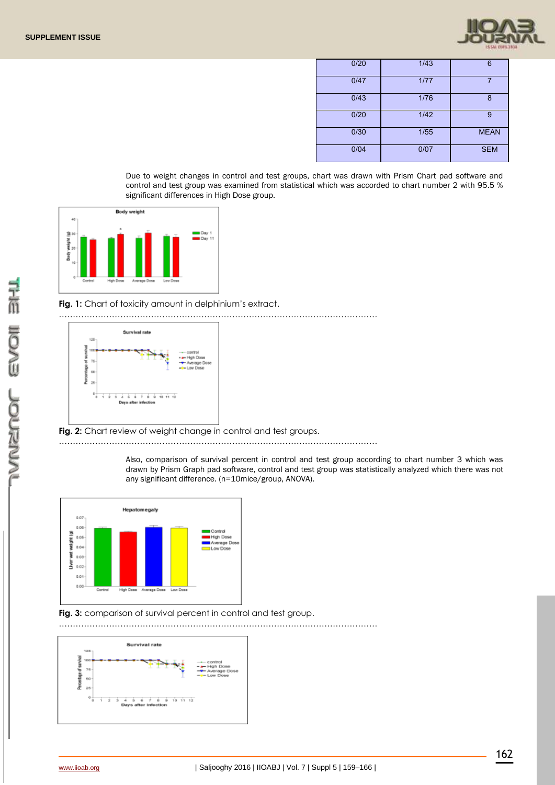

| 0/20 | 1/43 | 6           |
|------|------|-------------|
| 0/47 | 1/77 | 7           |
| 0/43 | 1/76 | 8           |
| 0/20 | 1/42 | 9           |
| 0/30 | 1/55 | <b>MEAN</b> |
| 0/04 | 0/07 | <b>SEM</b>  |

Due to weight changes in control and test groups, chart was drawn with Prism Chart pad software and control and test group was examined from statistical which was accorded to chart number 2 with 95.5 % significant differences in High Dose group.



#### **Fig. 1:** Chart of toxicity amount in delphinium's extract.

……………………………………………………………………………………………………



**Fig. 2:** Chart review of weight change in control and test groups.

……………………………………………………………………………………………………

Also, comparison of survival percent in control and test group according to chart number 3 which was drawn by Prism Graph pad software, control and test group was statistically analyzed which there was not any significant difference. (n=10mice/group, ANOVA).



**Fig. 3:** comparison of survival percent in control and test group.

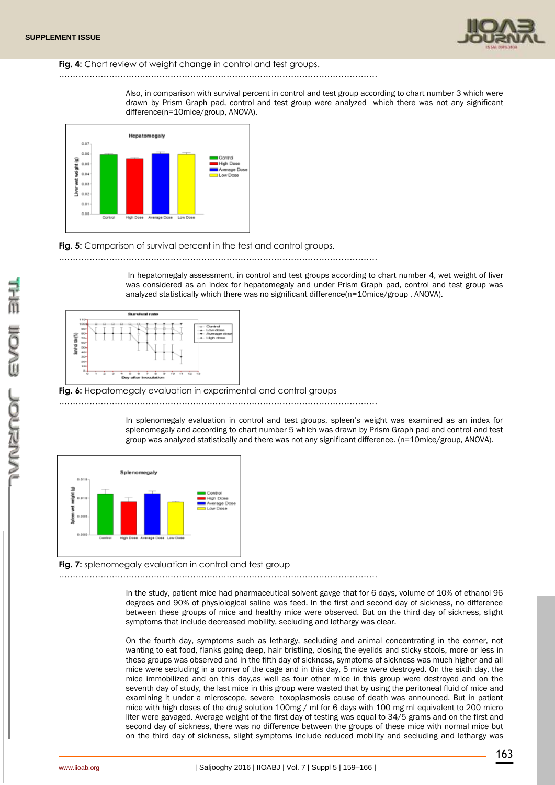

#### **Fig. 4:** Chart review of weight change in control and test groups.

……………………………………………………………………………………………………

Also, in comparison with survival percent in control and test group according to chart number 3 which were drawn by Prism Graph pad, control and test group were analyzed which there was not any significant difference(n=10mice/group, ANOVA).



## **Fig. 5:** Comparison of survival percent in the test and control groups.

……………………………………………………………………………………………………

In hepatomegaly assessment, in control and test groups according to chart number 4, wet weight of liver was considered as an index for hepatomegaly and under Prism Graph pad, control and test group was analyzed statistically which there was no significant difference(n=10mice/group , ANOVA).



#### Fig. 6: Hepatomegaly evaluation in experimental and control groups

……………………………………………………………………………………………………

In splenomegaly evaluation in control and test groups, spleen's weight was examined as an index for splenomegaly and according to chart number 5 which was drawn by Prism Graph pad and control and test group was analyzed statistically and there was not any significant difference. (n=10mice/group, ANOVA).



**Fig. 7:** splenomegaly evaluation in control and test group

……………………………………………………………………………………………………

In the study, patient mice had pharmaceutical solvent gavge that for 6 days, volume of 10% of ethanol 96 degrees and 90% of physiological saline was feed. In the first and second day of sickness, no difference between these groups of mice and healthy mice were observed. But on the third day of sickness, slight symptoms that include decreased mobility, secluding and lethargy was clear.

On the fourth day, symptoms such as lethargy, secluding and animal concentrating in the corner, not wanting to eat food, flanks going deep, hair bristling, closing the eyelids and sticky stools, more or less in these groups was observed and in the fifth day of sickness, symptoms of sickness was much higher and all mice were secluding in a corner of the cage and in this day, 5 mice were destroyed. On the sixth day, the mice immobilized and on this day,as well as four other mice in this group were destroyed and on the seventh day of study, the last mice in this group were wasted that by using the peritoneal fluid of mice and examining it under a microscope, severe toxoplasmosis cause of death was announced. But in patient mice with high doses of the drug solution 100mg / ml for 6 days with 100 mg ml equivalent to 200 micro liter were gavaged. Average weight of the first day of testing was equal to 34/5 grams and on the first and second day of sickness, there was no difference between the groups of these mice with normal mice but on the third day of sickness, slight symptoms include reduced mobility and secluding and lethargy was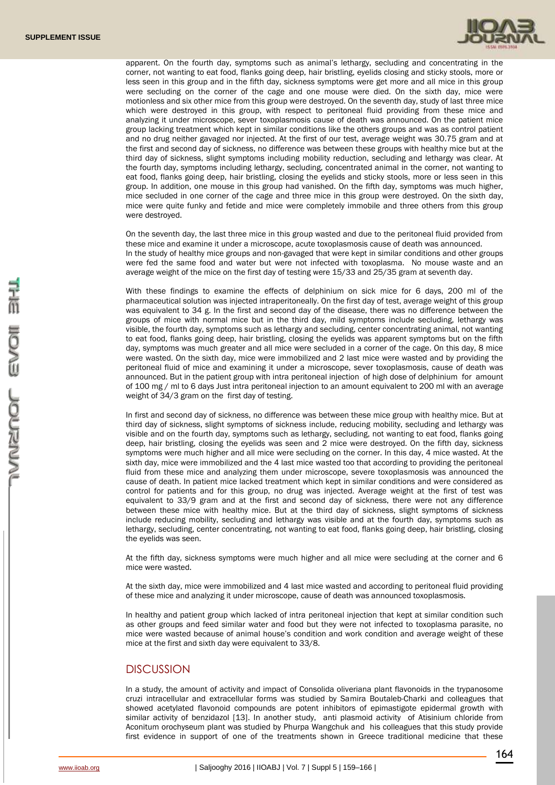

apparent. On the fourth day, symptoms such as animal's lethargy, secluding and concentrating in the corner, not wanting to eat food, flanks going deep, hair bristling, eyelids closing and sticky stools, more or less seen in this group and in the fifth day, sickness symptoms were get more and all mice in this group were secluding on the corner of the cage and one mouse were died. On the sixth day, mice were motionless and six other mice from this group were destroyed. On the seventh day, study of last three mice which were destroyed in this group, with respect to peritoneal fluid providing from these mice and analyzing it under microscope, sever toxoplasmosis cause of death was announced. On the patient mice group lacking treatment which kept in similar conditions like the others groups and was as control patient and no drug neither gavaged nor injected. At the first of our test, average weight was 30.75 gram and at the first and second day of sickness, no difference was between these groups with healthy mice but at the third day of sickness, slight symptoms including mobility reduction, secluding and lethargy was clear. At the fourth day, symptoms including lethargy, secluding, concentrated animal in the corner, not wanting to eat food, flanks going deep, hair bristling, closing the eyelids and sticky stools, more or less seen in this group. In addition, one mouse in this group had vanished. On the fifth day, symptoms was much higher, mice secluded in one corner of the cage and three mice in this group were destroyed. On the sixth day, mice were quite funky and fetide and mice were completely immobile and three others from this group were destroyed.

On the seventh day, the last three mice in this group wasted and due to the peritoneal fluid provided from these mice and examine it under a microscope, acute toxoplasmosis cause of death was announced. In the study of healthy mice groups and non-gavaged that were kept in similar conditions and other groups were fed the same food and water but were not infected with toxoplasma. No mouse waste and an average weight of the mice on the first day of testing were 15/33 and 25/35 gram at seventh day.

With these findings to examine the effects of delphinium on sick mice for 6 days, 200 ml of the pharmaceutical solution was injected intraperitoneally. On the first day of test, average weight of this group was equivalent to 34 g. In the first and second day of the disease, there was no difference between the groups of mice with normal mice but in the third day, mild symptoms include secluding, lethargy was visible, the fourth day, symptoms such as lethargy and secluding, center concentrating animal, not wanting to eat food, flanks going deep, hair bristling, closing the eyelids was apparent symptoms but on the fifth day, symptoms was much greater and all mice were secluded in a corner of the cage. On this day, 8 mice were wasted. On the sixth day, mice were immobilized and 2 last mice were wasted and by providing the peritoneal fluid of mice and examining it under a microscope, sever toxoplasmosis, cause of death was announced. But in the patient group with intra peritoneal injection of high dose of delphinium for amount of 100 mg / ml to 6 days Just intra peritoneal injection to an amount equivalent to 200 ml with an average weight of 34/3 gram on the first day of testing.

In first and second day of sickness, no difference was between these mice group with healthy mice. But at third day of sickness, slight symptoms of sickness include, reducing mobility, secluding and lethargy was visible and on the fourth day, symptoms such as lethargy, secluding, not wanting to eat food, flanks going deep, hair bristling, closing the eyelids was seen and 2 mice were destroyed. On the fifth day, sickness symptoms were much higher and all mice were secluding on the corner. In this day, 4 mice wasted. At the sixth day, mice were immobilized and the 4 last mice wasted too that according to providing the peritoneal fluid from these mice and analyzing them under microscope, severe toxoplasmosis was announced the cause of death. In patient mice lacked treatment which kept in similar conditions and were considered as control for patients and for this group, no drug was injected. Average weight at the first of test was equivalent to 33/9 gram and at the first and second day of sickness, there were not any difference between these mice with healthy mice. But at the third day of sickness, slight symptoms of sickness include reducing mobility, secluding and lethargy was visible and at the fourth day, symptoms such as lethargy, secluding, center concentrating, not wanting to eat food, flanks going deep, hair bristling, closing the eyelids was seen.

At the fifth day, sickness symptoms were much higher and all mice were secluding at the corner and 6 mice were wasted.

At the sixth day, mice were immobilized and 4 last mice wasted and according to peritoneal fluid providing of these mice and analyzing it under microscope, cause of death was announced toxoplasmosis.

In healthy and patient group which lacked of intra peritoneal injection that kept at similar condition such as other groups and feed similar water and food but they were not infected to toxoplasma parasite, no mice were wasted because of animal house's condition and work condition and average weight of these mice at the first and sixth day were equivalent to 33/8.

## **DISCUSSION**

In a study, the amount of activity and impact of Consolida oliveriana plant flavonoids in the trypanosome cruzi intracellular and extracellular forms was studied by Samira Boutaleb-Charki and colleagues that showed acetylated flavonoid compounds are potent inhibitors of epimastigote epidermal growth with similar activity of benzidazol [13]. In another study, anti plasmoid activity of Atisinium chloride from Aconitum orochyseum plant was studied by Phurpa Wangchuk and his colleagues that this study provide first evidence in support of one of the treatments shown in Greece traditional medicine that these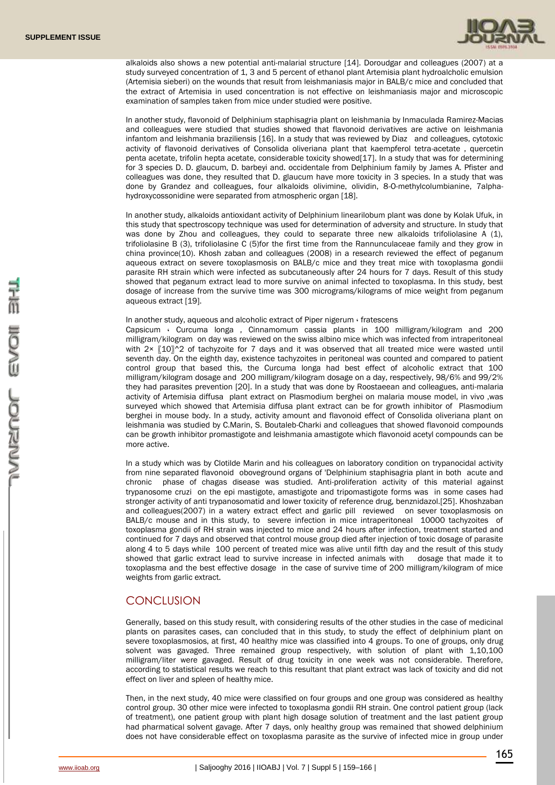

alkaloids also shows a new potential anti-malarial structure [14]. Doroudgar and colleagues (2007) at a study surveyed concentration of 1, 3 and 5 percent of ethanol plant Artemisia plant hydroalcholic emulsion (Artemisia sieberi) on the wounds that result from leishmaniasis major in BALB/c mice and concluded that the extract of Artemisia in used concentration is not effective on leishmaniasis major and microscopic examination of samples taken from mice under studied were positive.

In another study, flavonoid of Delphinium staphisagria plant on leishmania by Inmaculada Ramirez-Macias and colleagues were studied that studies showed that flavonoid derivatives are active on leishmania infantom and leishmania braziliensis [16]. In a study that was reviewed by Diaz and colleagues, cytotoxic activity of flavonoid derivatives of Consolida oliveriana plant that kaempferol tetra-acetate , quercetin penta acetate, trifolin hepta acetate, considerable toxicity showed[17]. In a study that was for determining for 3 species D. D. glaucum, D. barbeyi and. occidentale from Delphinium family by James A. Pfister and colleagues was done, they resulted that D. glaucum have more toxicity in 3 species. In a study that was done by Grandez and colleagues, four alkaloids olivimine, olividin, 8-O-methylcolumbianine, 7alphahydroxycossonidine were separated from atmospheric organ [18].

In another study, alkaloids antioxidant activity of Delphinium linearilobum plant was done by Kolak Ufuk, in this study that spectroscopy technique was used for determination of adversity and structure. In study that was done by Zhou and colleagues, they could to separate three new alkaloids trifoliolasine A (1), trifoliolasine B (3), trifoliolasine C (5)for the first time from the Rannunculaceae family and they grow in china province(10). Khosh zaban and colleagues (2008) in a research reviewed the effect of peganum aqueous extract on severe toxoplasmosis on BALB/c mice and they treat mice with toxoplasma gondii parasite RH strain which were infected as subcutaneously after 24 hours for 7 days. Result of this study showed that peganum extract lead to more survive on animal infected to toxoplasma. In this study, best dosage of increase from the survive time was 300 micrograms/kilograms of mice weight from peganum aqueous extract [19].

#### In another study, aqueous and alcoholic extract of Piper nigerum ، fratescens

Capsicum ، Curcuma longa , Cinnamomum cassia plants in 100 milligram/kilogram and 200 milligram/kilogram on day was reviewed on the swiss albino mice which was infected from intraperitoneal with 2×  $[10]$ <sup>2</sup> of tachyzoite for 7 days and it was observed that all treated mice were wasted until seventh day. On the eighth day, existence tachyzoites in peritoneal was counted and compared to patient control group that based this, the Curcuma longa had best effect of alcoholic extract that 100 milligram/kilogram dosage and 200 milligram/kilogram dosage on a day, respectively, 98/6% and 99/2% they had parasites prevention [20]. In a study that was done by Roostaeean and colleagues, anti-malaria activity of Artemisia diffusa plant extract on Plasmodium berghei on malaria mouse model, in vivo ,was surveyed which showed that Artemisia diffusa plant extract can be for growth inhibitor of Plasmodium berghei in mouse body. In a study, activity amount and flavonoid effect of Consolida oliveriana plant on leishmania was studied by C.Marin, S. Boutaleb-Charki and colleagues that showed flavonoid compounds can be growth inhibitor promastigote and leishmania amastigote which flavonoid acetyl compounds can be more active.

In a study which was by Clotilde Marin and his colleagues on laboratory condition on trypanocidal activity from nine separated flavonoid oboveground organs of 'Delphinium staphisagria plant in both acute and chronic phase of chagas disease was studied. Anti-proliferation activity of this material against trypanosome cruzi on the epi mastigote, amastigote and tripomastigote forms was in some cases had stronger activity of anti trypanosomatid and lower toxicity of reference drug, benznidazol.[25]. Khoshzaban and colleagues(2007) in a watery extract effect and garlic pill reviewed on sever toxoplasmosis on BALB/c mouse and in this study, to severe infection in mice intraperitoneal 10000 tachyzoites of toxoplasma gondii of RH strain was injected to mice and 24 hours after infection, treatment started and continued for 7 days and observed that control mouse group died after injection of toxic dosage of parasite along 4 to 5 days while 100 percent of treated mice was alive until fifth day and the result of this study showed that garlic extract lead to survive increase in infected animals with dosage that made it to toxoplasma and the best effective dosage in the case of survive time of 200 milligram/kilogram of mice weights from garlic extract.

## **CONCLUSION**

Generally, based on this study result, with considering results of the other studies in the case of medicinal plants on parasites cases, can concluded that in this study, to study the effect of delphinium plant on severe toxoplasmosios, at first, 40 healthy mice was classified into 4 groups. To one of groups, only drug solvent was gavaged. Three remained group respectively, with solution of plant with 1,10,100 milligram/liter were gavaged. Result of drug toxicity in one week was not considerable. Therefore, according to statistical results we reach to this resultant that plant extract was lack of toxicity and did not effect on liver and spleen of healthy mice.

Then, in the next study, 40 mice were classified on four groups and one group was considered as healthy control group. 30 other mice were infected to toxoplasma gondii RH strain. One control patient group (lack of treatment), one patient group with plant high dosage solution of treatment and the last patient group had pharmatical solvent gavage. After 7 days, only healthy group was remained that showed delphinium does not have considerable effect on toxoplasma parasite as the survive of infected mice in group under